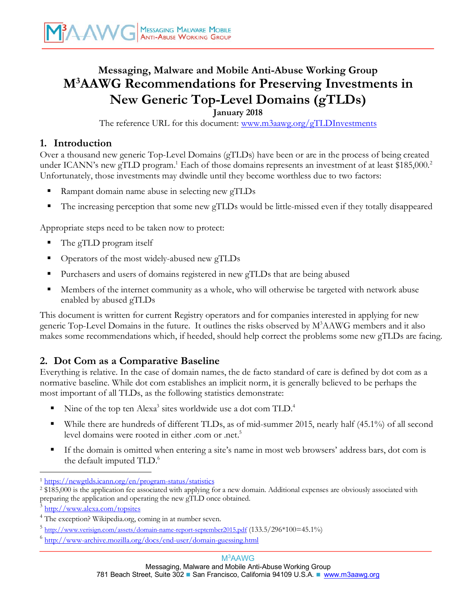# **Messaging, Malware and Mobile Anti-Abuse Working Group M3 AAWG Recommendations for Preserving Investments in New Generic Top-Level Domains (gTLDs)**

**January 2018**

The reference URL for this document: www.m3aawg.org/gTLDInvestments

#### **1. Introduction**

Over a thousand new generic Top-Level Domains (gTLDs) have been or are in the process of being created under ICANN's new gTLD program.<sup>1</sup> Each of those domains represents an investment of at least \$185,000.<sup>2</sup> Unfortunately, those investments may dwindle until they become worthless due to two factors:

- § Rampant domain name abuse in selecting new gTLDs
- The increasing perception that some new gTLDs would be little-missed even if they totally disappeared

Appropriate steps need to be taken now to protect:

- The gTLD program itself
- Operators of the most widely-abused new gTLDs
- Purchasers and users of domains registered in new gTLDs that are being abused
- Members of the internet community as a whole, who will otherwise be targeted with network abuse enabled by abused gTLDs

This document is written for current Registry operators and for companies interested in applying for new generic Top-Level Domains in the future. It outlines the risks observed by M3 AAWG members and it also makes some recommendations which, if heeded, should help correct the problems some new gTLDs are facing.

#### **2. Dot Com as a Comparative Baseline**

Everything is relative. In the case of domain names, the de facto standard of care is defined by dot com as a normative baseline. While dot com establishes an implicit norm, it is generally believed to be perhaps the most important of all TLDs, as the following statistics demonstrate:

- Nine of the top ten Alexa<sup>3</sup> sites worldwide use a dot com TLD.<sup>4</sup>
- § While there are hundreds of different TLDs, as of mid-summer 2015, nearly half (45.1%) of all second level domains were rooted in either .com or .net.<sup>5</sup>
- If the domain is omitted when entering a site's name in most web browsers' address bars, dot com is the default imputed TLD.<sup>6</sup>

 <sup>1</sup> https://newgtlds.icann.org/en/program-status/statistics

<sup>2</sup> \$185,000 is the application fee associated with applying for a new domain. Additional expenses are obviously associated with preparing the application and operating the new gTLD once obtained.

<sup>3</sup> http://www.alexa.com/topsites

<sup>&</sup>lt;sup>4</sup> The exception? Wikipedia.org, coming in at number seven.

<sup>5</sup> http://www.verisign.com/assets/domain-name-report-september2015.pdf (133.5/296\*100=45.1%)

 $6$  http://www-archive.mozilla.org/docs/end-user/domain-guessing.html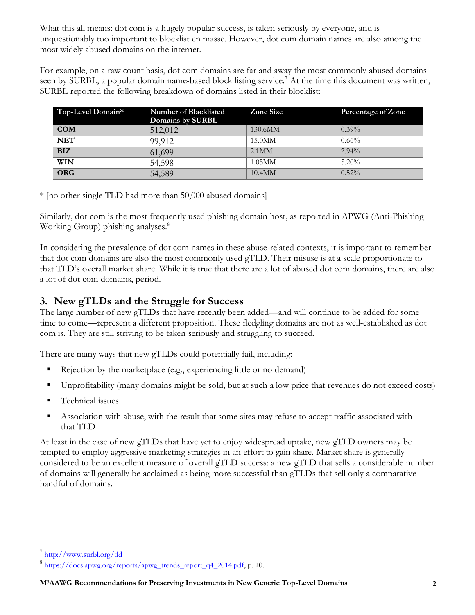What this all means: dot com is a hugely popular success, is taken seriously by everyone, and is unquestionably too important to blocklist en masse. However, dot com domain names are also among the most widely abused domains on the internet.

For example, on a raw count basis, dot com domains are far and away the most commonly abused domains seen by SURBL, a popular domain name-based block listing service.<sup>7</sup> At the time this document was written, SURBL reported the following breakdown of domains listed in their blocklist:

| Top-Level Domain*                  | <b>Number of Blacklisted</b> | Zone Size | <b>Percentage of Zone</b> |
|------------------------------------|------------------------------|-----------|---------------------------|
|                                    | Domains by SURBL             |           |                           |
| $ $ COM                            | 512,012                      | 130.6MM   | $0.39\%$                  |
| <b>NET</b>                         | 99.912                       | 15.0MM    | $0.66\%$                  |
| <b>BIZ</b>                         | 61,699                       | $2.1$ MM  | $2.94\%$                  |
| WIN                                | 54,598                       | $1.05$ MM | 5.20%                     |
| $\overline{\overline{\text{ORG}}}$ | 54,589                       | 10.4MM    | $0.52\%$                  |

\* [no other single TLD had more than 50,000 abused domains]

Similarly, dot com is the most frequently used phishing domain host, as reported in APWG (Anti-Phishing Working Group) phishing analyses.<sup>8</sup>

In considering the prevalence of dot com names in these abuse-related contexts, it is important to remember that dot com domains are also the most commonly used gTLD. Their misuse is at a scale proportionate to that TLD's overall market share. While it is true that there are a lot of abused dot com domains, there are also a lot of dot com domains, period.

### **3. New gTLDs and the Struggle for Success**

The large number of new gTLDs that have recently been added—and will continue to be added for some time to come—represent a different proposition. These fledgling domains are not as well-established as dot com is. They are still striving to be taken seriously and struggling to succeed.

There are many ways that new gTLDs could potentially fail, including:

- Rejection by the marketplace (e.g., experiencing little or no demand)
- § Unprofitability (many domains might be sold, but at such a low price that revenues do not exceed costs)
- Technical issues
- § Association with abuse, with the result that some sites may refuse to accept traffic associated with that TLD

At least in the case of new gTLDs that have yet to enjoy widespread uptake, new gTLD owners may be tempted to employ aggressive marketing strategies in an effort to gain share. Market share is generally considered to be an excellent measure of overall gTLD success: a new gTLD that sells a considerable number of domains will generally be acclaimed as being more successful than gTLDs that sell only a comparative handful of domains.

 $^7$  http://www.surbl.org/tld

 $8 \text{ https://docs.apwg.org/ reports/apwg}\trends\text{ report } q4\text{ }2014.\text{pdf}, p. 10.$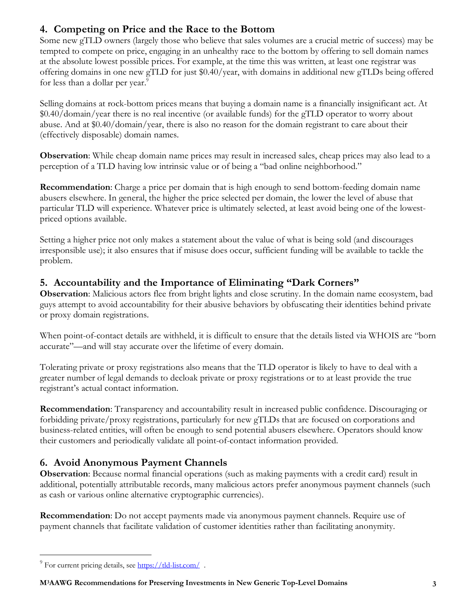## **4. Competing on Price and the Race to the Bottom**

Some new gTLD owners (largely those who believe that sales volumes are a crucial metric of success) may be tempted to compete on price, engaging in an unhealthy race to the bottom by offering to sell domain names at the absolute lowest possible prices. For example, at the time this was written, at least one registrar was offering domains in one new gTLD for just \$0.40/year, with domains in additional new gTLDs being offered for less than a dollar per year.<sup>9</sup>

Selling domains at rock-bottom prices means that buying a domain name is a financially insignificant act. At \$0.40/domain/year there is no real incentive (or available funds) for the gTLD operator to worry about abuse. And at \$0.40/domain/year, there is also no reason for the domain registrant to care about their (effectively disposable) domain names.

**Observation**: While cheap domain name prices may result in increased sales, cheap prices may also lead to a perception of a TLD having low intrinsic value or of being a "bad online neighborhood."

**Recommendation**: Charge a price per domain that is high enough to send bottom-feeding domain name abusers elsewhere. In general, the higher the price selected per domain, the lower the level of abuse that particular TLD will experience. Whatever price is ultimately selected, at least avoid being one of the lowestpriced options available.

Setting a higher price not only makes a statement about the value of what is being sold (and discourages irresponsible use); it also ensures that if misuse does occur, sufficient funding will be available to tackle the problem.

#### **5. Accountability and the Importance of Eliminating "Dark Corners"**

**Observation**: Malicious actors flee from bright lights and close scrutiny. In the domain name ecosystem, bad guys attempt to avoid accountability for their abusive behaviors by obfuscating their identities behind private or proxy domain registrations.

When point-of-contact details are withheld, it is difficult to ensure that the details listed via WHOIS are "born accurate"—and will stay accurate over the lifetime of every domain.

Tolerating private or proxy registrations also means that the TLD operator is likely to have to deal with a greater number of legal demands to decloak private or proxy registrations or to at least provide the true registrant's actual contact information.

**Recommendation**: Transparency and accountability result in increased public confidence. Discouraging or forbidding private/proxy registrations, particularly for new gTLDs that are focused on corporations and business-related entities, will often be enough to send potential abusers elsewhere. Operators should know their customers and periodically validate all point-of-contact information provided.

## **6. Avoid Anonymous Payment Channels**

**Observation**: Because normal financial operations (such as making payments with a credit card) result in additional, potentially attributable records, many malicious actors prefer anonymous payment channels (such as cash or various online alternative cryptographic currencies).

**Recommendation**: Do not accept payments made via anonymous payment channels. Require use of payment channels that facilitate validation of customer identities rather than facilitating anonymity.

 $^{9}$  For current pricing details, see  $\frac{\text{https://tld-list.com/}}{\text{https://tld-list.com/}}$ .